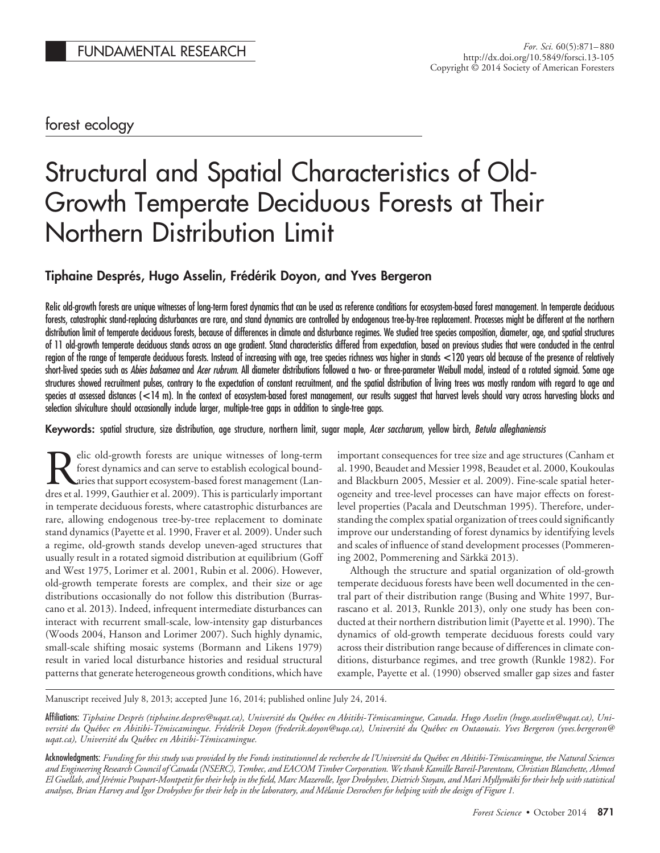# forest ecology

# Structural and Spatial Characteristics of Old-Growth Temperate Deciduous Forests at Their Northern Distribution Limit

# **Tiphaine Despre´s, Hugo Asselin, Fre´de´rik Doyon, and Yves Bergeron**

Relic old-growth forests are unique witnesses of long-term forest dynamics that can be used as reference conditions for ecosystem-based forest management. In temperate deciduous forests, catastrophic stand-replacing disturbances are rare, and stand dynamics are controlled by endogenous tree-by-tree replacement. Processes might be different at the northern distribution limit of temperate deciduous forests, because of differences in climate and disturbance regimes. We studied tree species composition, diameter, age, and spatial structures of 11 old-growth temperate deciduous stands across an age gradient. Stand characteristics differed from expectation, based on previous studies that were conducted in the central region of the range of temperate deciduous forests. Instead of increasing with age, tree species richness was higher in stands **<**120 years old because of the presence of relatively short-lived species such as *Abies balsamea* and *Acer rubrum*. All diameter distributions followed a two- or three-parameter Weibull model, instead of a rotated sigmoid. Some age structures showed recruitment pulses, contrary to the expectation of constant recruitment, and the spatial distribution of living trees was mostly random with regard to age and species at assessed distances (**<**14 m). In the context of ecosystem-based forest management, our results suggest that harvest levels should vary across harvesting blocks and selection silviculture should occasionally include larger, multiple-tree gaps in addition to single-tree gaps.

**Keywords:** spatial structure, size distribution, age structure, northern limit, sugar maple, *Acer saccharum*, yellow birch, *Betula alleghaniensis*

elic old-growth forests are unique witnesses of long-term forest dynamics and can serve to establish ecological boundaries that support ecosystem-based forest management (Landres et al. 1999, Gauthier et al. 2009). This is particularly important in temperate deciduous forests, where catastrophic disturbances are rare, allowing endogenous tree-by-tree replacement to dominate stand dynamics (Payette et al. 1990, Fraver et al. 2009). Under such a regime, old-growth stands develop uneven-aged structures that usually result in a rotated sigmoid distribution at equilibrium (Goff and West 1975, Lorimer et al. 2001, Rubin et al. 2006). However, old-growth temperate forests are complex, and their size or age distributions occasionally do not follow this distribution (Burrascano et al. 2013). Indeed, infrequent intermediate disturbances can interact with recurrent small-scale, low-intensity gap disturbances (Woods 2004, Hanson and Lorimer 2007). Such highly dynamic, small-scale shifting mosaic systems (Bormann and Likens 1979) result in varied local disturbance histories and residual structural patterns that generate heterogeneous growth conditions, which have

important consequences for tree size and age structures (Canham et al. 1990, Beaudet and Messier 1998, Beaudet et al. 2000, Koukoulas and Blackburn 2005, Messier et al. 2009). Fine-scale spatial heterogeneity and tree-level processes can have major effects on forestlevel properties (Pacala and Deutschman 1995). Therefore, understanding the complex spatial organization of trees could significantly improve our understanding of forest dynamics by identifying levels and scales of influence of stand development processes (Pommerening 2002, Pommerening and Särkkä 2013).

Although the structure and spatial organization of old-growth temperate deciduous forests have been well documented in the central part of their distribution range (Busing and White 1997, Burrascano et al. 2013, Runkle 2013), only one study has been conducted at their northern distribution limit (Payette et al. 1990). The dynamics of old-growth temperate deciduous forests could vary across their distribution range because of differences in climate conditions, disturbance regimes, and tree growth (Runkle 1982). For example, Payette et al. (1990) observed smaller gap sizes and faster

Manuscript received July 8, 2013; accepted June 16, 2014; published online July 24, 2014.

Affili**ations**: Tiphaine Després (tiphaine.despres@uqat.ca), Université du Québec en Abitibi-Témiscamingue, Canada. Hugo Asselin (hugo.asselin@uqat.ca), Université du Québec en Ábitibi-Témiscamingue. Frédérik Doyon (frederik.doyon@uqo.ca), Université du Québec en Outaouais. Yves Bergeron (yves.bergeron@ *uqat.ca), Universite´ du Que´bec en Abitibi-Te´miscamingue.*

Acknowledgments: *Funding for this study was provided by the Fonds institutionnel de recherche de l'Universite´ du Que´bec en Abitibi-Te´miscamingue, the Natural Sciences and Engineering Research Council of Canada (NSERC), Tembec, and EACOM Timber Corporation. We thank Kamille Bareil-Parenteau, Christian Blanchette, Ahmed El Guellab, and Je´re´mie Poupart-Montpetit for their help in the field, Marc Mazerolle, Igor Drobyshev, Dietrich Stoyan, and Mari Myllyma¨ki for their help with statistical analyses, Brian Harvey and Igor Drobyshev for their help in the laboratory, and Me´lanie Desrochers for helping with the design of Figure 1.*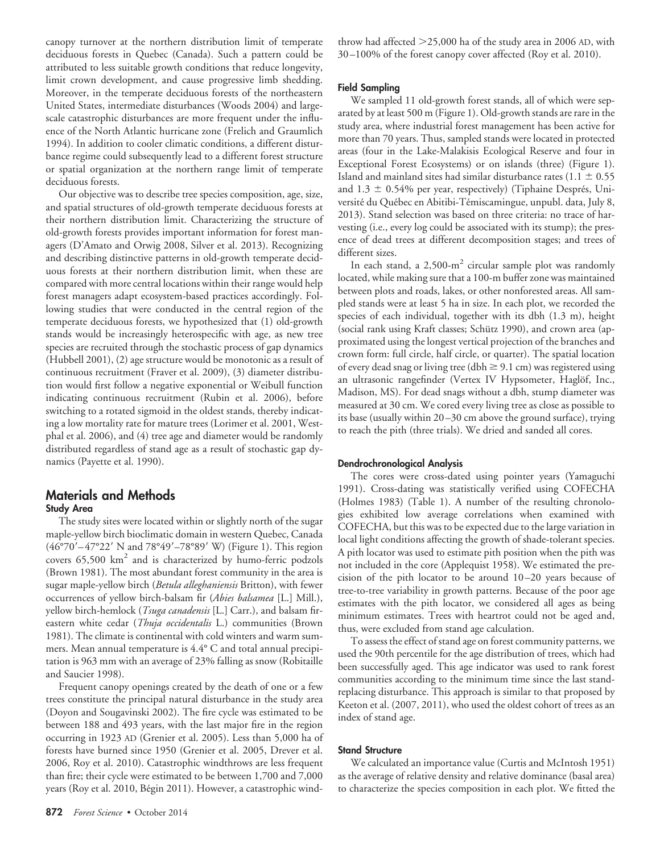canopy turnover at the northern distribution limit of temperate deciduous forests in Quebec (Canada). Such a pattern could be attributed to less suitable growth conditions that reduce longevity, limit crown development, and cause progressive limb shedding. Moreover, in the temperate deciduous forests of the northeastern United States, intermediate disturbances (Woods 2004) and largescale catastrophic disturbances are more frequent under the influence of the North Atlantic hurricane zone (Frelich and Graumlich 1994). In addition to cooler climatic conditions, a different disturbance regime could subsequently lead to a different forest structure or spatial organization at the northern range limit of temperate deciduous forests.

Our objective was to describe tree species composition, age, size, and spatial structures of old-growth temperate deciduous forests at their northern distribution limit. Characterizing the structure of old-growth forests provides important information for forest managers (D'Amato and Orwig 2008, Silver et al. 2013). Recognizing and describing distinctive patterns in old-growth temperate deciduous forests at their northern distribution limit, when these are compared with more central locations within their range would help forest managers adapt ecosystem-based practices accordingly. Following studies that were conducted in the central region of the temperate deciduous forests, we hypothesized that (1) old-growth stands would be increasingly heterospecific with age, as new tree species are recruited through the stochastic process of gap dynamics (Hubbell 2001), (2) age structure would be monotonic as a result of continuous recruitment (Fraver et al. 2009), (3) diameter distribution would first follow a negative exponential or Weibull function indicating continuous recruitment (Rubin et al. 2006), before switching to a rotated sigmoid in the oldest stands, thereby indicating a low mortality rate for mature trees (Lorimer et al. 2001, Westphal et al. 2006), and (4) tree age and diameter would be randomly distributed regardless of stand age as a result of stochastic gap dynamics (Payette et al. 1990).

# **Materials and Methods Study Area**

The study sites were located within or slightly north of the sugar maple-yellow birch bioclimatic domain in western Quebec, Canada (46°70'–47°22' N and 78°49'–78°89' W) (Figure 1). This region covers  $65,500 \text{ km}^2$  and is characterized by humo-ferric podzols (Brown 1981). The most abundant forest community in the area is sugar maple-yellow birch (*Betula alleghaniensis* Britton), with fewer occurrences of yellow birch-balsam fir (*Abies balsamea* [L.] Mill.), yellow birch-hemlock (*Tsuga canadensis* [L.] Carr.), and balsam fireastern white cedar (*Thuja occidentalis* L.) communities (Brown 1981). The climate is continental with cold winters and warm summers. Mean annual temperature is 4.4° C and total annual precipitation is 963 mm with an average of 23% falling as snow (Robitaille and Saucier 1998).

Frequent canopy openings created by the death of one or a few trees constitute the principal natural disturbance in the study area (Doyon and Sougavinski 2002). The fire cycle was estimated to be between 188 and 493 years, with the last major fire in the region occurring in 1923 AD (Grenier et al. 2005). Less than 5,000 ha of forests have burned since 1950 (Grenier et al. 2005, Drever et al. 2006, Roy et al. 2010). Catastrophic windthrows are less frequent than fire; their cycle were estimated to be between 1,700 and 7,000 years (Roy et al. 2010, Bégin 2011). However, a catastrophic wind-

**872** *Forest Science •* October 2014

throw had affected  $>$ 25,000 ha of the study area in 2006 AD, with 30 –100% of the forest canopy cover affected (Roy et al. 2010).

# **Field Sampling**

We sampled 11 old-growth forest stands, all of which were separated by at least 500 m (Figure 1). Old-growth stands are rare in the study area, where industrial forest management has been active for more than 70 years. Thus, sampled stands were located in protected areas (four in the Lake-Malakisis Ecological Reserve and four in Exceptional Forest Ecosystems) or on islands (three) (Figure 1). Island and mainland sites had similar disturbance rates  $(1.1 \pm 0.55$ and  $1.3 \pm 0.54\%$  per year, respectively) (Tiphaine Després, Université du Québec en Abitibi-Témiscamingue, unpubl. data, July 8, 2013). Stand selection was based on three criteria: no trace of harvesting (i.e., every log could be associated with its stump); the presence of dead trees at different decomposition stages; and trees of different sizes.

In each stand, a  $2,500\text{-m}^2$  circular sample plot was randomly located, while making sure that a 100-m buffer zone was maintained between plots and roads, lakes, or other nonforested areas. All sampled stands were at least 5 ha in size. In each plot, we recorded the species of each individual, together with its dbh (1.3 m), height (social rank using Kraft classes; Schütz 1990), and crown area (approximated using the longest vertical projection of the branches and crown form: full circle, half circle, or quarter). The spatial location of every dead snag or living tree (dbh  $\geq$  9.1 cm) was registered using an ultrasonic rangefinder (Vertex IV Hypsometer, Haglöf, Inc., Madison, MS). For dead snags without a dbh, stump diameter was measured at 30 cm. We cored every living tree as close as possible to its base (usually within 20 –30 cm above the ground surface), trying to reach the pith (three trials). We dried and sanded all cores.

# **Dendrochronological Analysis**

The cores were cross-dated using pointer years (Yamaguchi 1991). Cross-dating was statistically verified using COFECHA (Holmes 1983) (Table 1). A number of the resulting chronologies exhibited low average correlations when examined with COFECHA, but this was to be expected due to the large variation in local light conditions affecting the growth of shade-tolerant species. A pith locator was used to estimate pith position when the pith was not included in the core (Applequist 1958). We estimated the precision of the pith locator to be around 10 –20 years because of tree-to-tree variability in growth patterns. Because of the poor age estimates with the pith locator, we considered all ages as being minimum estimates. Trees with heartrot could not be aged and, thus, were excluded from stand age calculation.

To assess the effect of stand age on forest community patterns, we used the 90th percentile for the age distribution of trees, which had been successfully aged. This age indicator was used to rank forest communities according to the minimum time since the last standreplacing disturbance. This approach is similar to that proposed by Keeton et al. (2007, 2011), who used the oldest cohort of trees as an index of stand age.

#### **Stand Structure**

We calculated an importance value (Curtis and McIntosh 1951) as the average of relative density and relative dominance (basal area) to characterize the species composition in each plot. We fitted the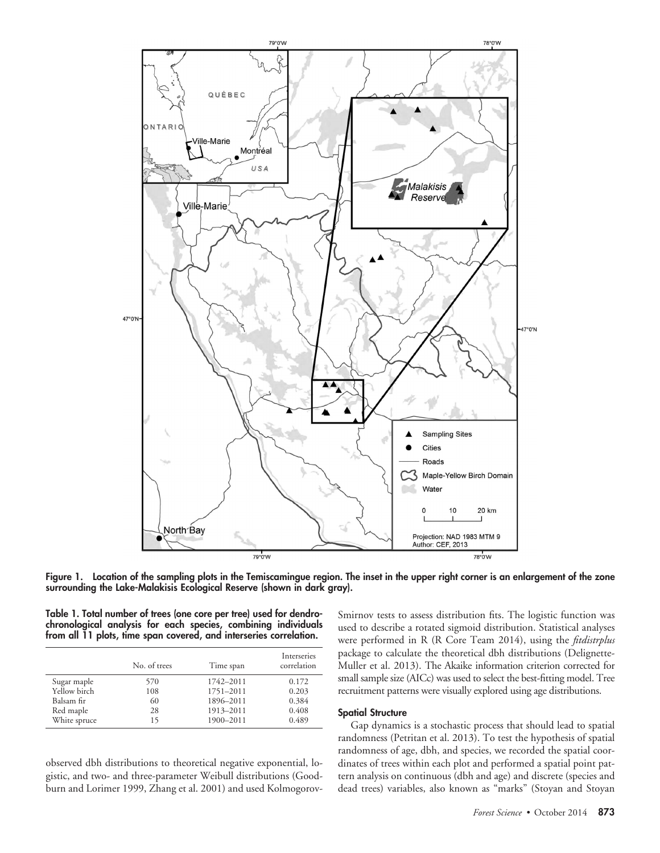

**Figure 1. Location of the sampling plots in the Temiscamingue region. The inset in the upper right corner is an enlargement of the zone surrounding the Lake-Malakisis Ecological Reserve (shown in dark gray).**

**Table 1. Total number of trees (one core per tree) used for dendrochronological analysis for each species, combining individuals from all 11 plots, time span covered, and interseries correlation.**

|              | No. of trees | Time span | Interseries<br>correlation |
|--------------|--------------|-----------|----------------------------|
| Sugar maple  | 570          | 1742-2011 | 0.172                      |
| Yellow birch | 108          | 1751-2011 | 0.203                      |
| Balsam fir   | 60           | 1896-2011 | 0.384                      |
| Red maple    | 28           | 1913-2011 | 0.408                      |
| White spruce | 15           | 1900-2011 | 0.489                      |

observed dbh distributions to theoretical negative exponential, logistic, and two- and three-parameter Weibull distributions (Goodburn and Lorimer 1999, Zhang et al. 2001) and used KolmogorovSmirnov tests to assess distribution fits. The logistic function was used to describe a rotated sigmoid distribution. Statistical analyses were performed in R (R Core Team 2014), using the *fitdistrplus* package to calculate the theoretical dbh distributions (Delignette-Muller et al. 2013). The Akaike information criterion corrected for small sample size (AICc) was used to select the best-fitting model. Tree recruitment patterns were visually explored using age distributions.

# **Spatial Structure**

Gap dynamics is a stochastic process that should lead to spatial randomness (Petritan et al. 2013). To test the hypothesis of spatial randomness of age, dbh, and species, we recorded the spatial coordinates of trees within each plot and performed a spatial point pattern analysis on continuous (dbh and age) and discrete (species and dead trees) variables, also known as "marks" (Stoyan and Stoyan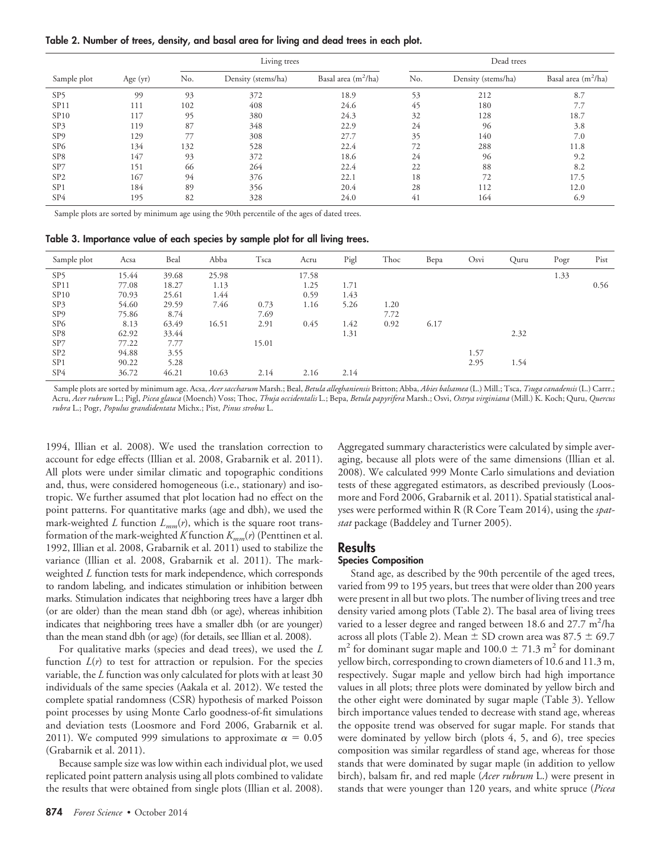**Table 2. Number of trees, density, and basal area for living and dead trees in each plot.**

|                  |            | Living trees |                    |                                 | Dead trees |                    |                       |  |
|------------------|------------|--------------|--------------------|---------------------------------|------------|--------------------|-----------------------|--|
| Sample plot      | Age $(yr)$ | No.          | Density (stems/ha) | Basal area (m <sup>2</sup> /ha) | No.        | Density (stems/ha) | Basal area $(m^2/ha)$ |  |
| SP <sub>5</sub>  | 99         | 93           | 372                | 18.9                            | 53         | 212                | 8.7                   |  |
| SP11             | 111        | 102          | 408                | 24.6                            | 45         | 180                | 7.7                   |  |
| SP <sub>10</sub> | 117        | 95           | 380                | 24.3                            | 32         | 128                | 18.7                  |  |
| SP3              | 119        | 87           | 348                | 22.9                            | 24         | 96                 | 3.8                   |  |
| SP <sub>9</sub>  | 129        | 77           | 308                | 27.7                            | 35         | 140                | 7.0                   |  |
| SP <sub>6</sub>  | 134        | 132          | 528                | 22.4                            | 72         | 288                | 11.8                  |  |
| SP <sub>8</sub>  | 147        | 93           | 372                | 18.6                            | 24         | 96                 | 9.2                   |  |
| SP7              | 151        | 66           | 264                | 22.4                            | 22         | 88                 | 8.2                   |  |
| SP <sub>2</sub>  | 167        | 94           | 376                | 22.1                            | 18         | 72                 | 17.5                  |  |
| SP <sub>1</sub>  | 184        | 89           | 356                | 20.4                            | 28         | 112                | 12.0                  |  |
| SP4              | 195        | 82           | 328                | 24.0                            | 41         | 164                | 6.9                   |  |

Sample plots are sorted by minimum age using the 90th percentile of the ages of dated trees.

**Table 3. Importance value of each species by sample plot for all living trees.**

| Sample plot      | Acsa  | Beal  | Abba  | Tsca  | Acru  | Pigl | Thoc | Bepa | Osvi | Quru | Pogr | Pist |
|------------------|-------|-------|-------|-------|-------|------|------|------|------|------|------|------|
| SP <sub>5</sub>  | 15.44 | 39.68 | 25.98 |       | 17.58 |      |      |      |      |      | 1.33 |      |
| SP <sub>11</sub> | 77.08 | 18.27 | 1.13  |       | 1.25  | 1.71 |      |      |      |      |      | 0.56 |
| SP <sub>10</sub> | 70.93 | 25.61 | 1.44  |       | 0.59  | 1.43 |      |      |      |      |      |      |
| SP3              | 54.60 | 29.59 | 7.46  | 0.73  | 1.16  | 5.26 | 1.20 |      |      |      |      |      |
| SP <sub>9</sub>  | 75.86 | 8.74  |       | 7.69  |       |      | 7.72 |      |      |      |      |      |
| SP <sub>6</sub>  | 8.13  | 63.49 | 16.51 | 2.91  | 0.45  | 1.42 | 0.92 | 6.17 |      |      |      |      |
| SP <sub>8</sub>  | 62.92 | 33.44 |       |       |       | 1.31 |      |      |      | 2.32 |      |      |
| SP7              | 77.22 | 7.77  |       | 15.01 |       |      |      |      |      |      |      |      |
| SP <sub>2</sub>  | 94.88 | 3.55  |       |       |       |      |      |      | 1.57 |      |      |      |
| SP <sub>1</sub>  | 90.22 | 5.28  |       |       |       |      |      |      | 2.95 | 1.54 |      |      |
| SP4              | 36.72 | 46.21 | 10.63 | 2.14  | 2.16  | 2.14 |      |      |      |      |      |      |

Sample plots are sorted by minimum age. Acsa, *Acer saccharum* Marsh.; Beal, *Betula alleghaniensis* Britton; Abba, *Abies balsamea* (L.) Mill.; Tsca, *Tsuga canadensis* (L.) Carrr.; Acru, *Acer rubrum* L.; Pigl, *Picea glauca* (Moench) Voss; Thoc, *Thuja occidentalis* L.; Bepa, *Betula papyrifera* Marsh.; Osvi, *Ostrya virginiana* (Mill.) K. Koch; Quru, *Quercus rubra* L.; Pogr, *Populus grandidentata* Michx.; Pist, *Pinus strobus* L.

1994, Illian et al. 2008). We used the translation correction to account for edge effects (Illian et al. 2008, Grabarnik et al. 2011). All plots were under similar climatic and topographic conditions and, thus, were considered homogeneous (i.e., stationary) and isotropic. We further assumed that plot location had no effect on the point patterns. For quantitative marks (age and dbh), we used the mark-weighted *L* function  $L_{mm}(r)$ , which is the square root transformation of the mark-weighted *K* function *Kmm*(*r*) (Penttinen et al. 1992, Illian et al. 2008, Grabarnik et al. 2011) used to stabilize the variance (Illian et al. 2008, Grabarnik et al. 2011). The markweighted *L* function tests for mark independence, which corresponds to random labeling, and indicates stimulation or inhibition between marks. Stimulation indicates that neighboring trees have a larger dbh (or are older) than the mean stand dbh (or age), whereas inhibition indicates that neighboring trees have a smaller dbh (or are younger) than the mean stand dbh (or age) (for details, see Illian et al. 2008).

For qualitative marks (species and dead trees), we used the *L* function  $L(r)$  to test for attraction or repulsion. For the species variable, the *L* function was only calculated for plots with at least 30 individuals of the same species (Aakala et al. 2012). We tested the complete spatial randomness (CSR) hypothesis of marked Poisson point processes by using Monte Carlo goodness-of-fit simulations and deviation tests (Loosmore and Ford 2006, Grabarnik et al. 2011). We computed 999 simulations to approximate  $\alpha = 0.05$ (Grabarnik et al. 2011).

Because sample size was low within each individual plot, we used replicated point pattern analysis using all plots combined to validate the results that were obtained from single plots (Illian et al. 2008).

**874** *Forest Science •* October 2014

Aggregated summary characteristics were calculated by simple averaging, because all plots were of the same dimensions (Illian et al. 2008). We calculated 999 Monte Carlo simulations and deviation tests of these aggregated estimators, as described previously (Loosmore and Ford 2006, Grabarnik et al. 2011). Spatial statistical analyses were performed within R (R Core Team 2014), using the *spatstat* package (Baddeley and Turner 2005).

# **Results**

# **Species Composition**

Stand age, as described by the 90th percentile of the aged trees, varied from 99 to 195 years, but trees that were older than 200 years were present in all but two plots. The number of living trees and tree density varied among plots (Table 2). The basal area of living trees varied to a lesser degree and ranged between 18.6 and 27.7 m<sup>2</sup>/ha across all plots (Table 2). Mean  $\pm$  SD crown area was 87.5  $\pm$  69.7  $m<sup>2</sup>$  for dominant sugar maple and 100.0  $\pm$  71.3 m<sup>2</sup> for dominant yellow birch, corresponding to crown diameters of 10.6 and 11.3 m, respectively. Sugar maple and yellow birch had high importance values in all plots; three plots were dominated by yellow birch and the other eight were dominated by sugar maple (Table 3). Yellow birch importance values tended to decrease with stand age, whereas the opposite trend was observed for sugar maple. For stands that were dominated by yellow birch (plots 4, 5, and 6), tree species composition was similar regardless of stand age, whereas for those stands that were dominated by sugar maple (in addition to yellow birch), balsam fir, and red maple (*Acer rubrum* L.) were present in stands that were younger than 120 years, and white spruce (*Picea*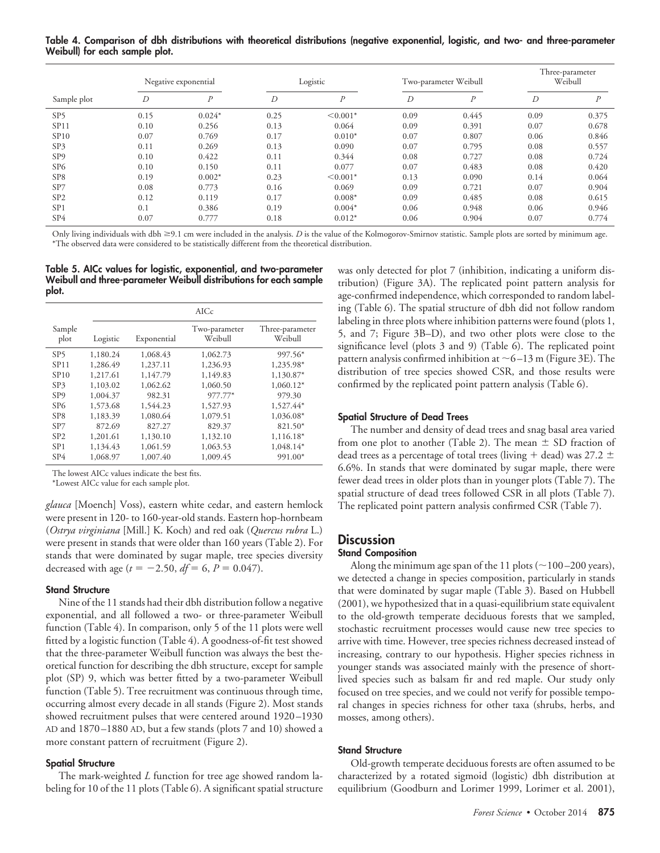**Table 4. Comparison of dbh distributions with theoretical distributions (negative exponential, logistic, and two- and three-parameter Weibull) for each sample plot.**

|                 |      | Negative exponential |      | Logistic      |      | Two-parameter Weibull |      | Three-parameter<br>Weibull |
|-----------------|------|----------------------|------|---------------|------|-----------------------|------|----------------------------|
| Sample plot     | D    | P                    | D    | P             | D    | $\boldsymbol{P}$      | D    | $\boldsymbol{D}$           |
| SP <sub>5</sub> | 0.15 | $0.024*$             | 0.25 | $\leq 0.001*$ | 0.09 | 0.445                 | 0.09 | 0.375                      |
| SP11            | 0.10 | 0.256                | 0.13 | 0.064         | 0.09 | 0.391                 | 0.07 | 0.678                      |
| SP10            | 0.07 | 0.769                | 0.17 | $0.010*$      | 0.07 | 0.807                 | 0.06 | 0.846                      |
| SP3             | 0.11 | 0.269                | 0.13 | 0.090         | 0.07 | 0.795                 | 0.08 | 0.557                      |
| SP <sub>9</sub> | 0.10 | 0.422                | 0.11 | 0.344         | 0.08 | 0.727                 | 0.08 | 0.724                      |
| SP <sub>6</sub> | 0.10 | 0.150                | 0.11 | 0.077         | 0.07 | 0.483                 | 0.08 | 0.420                      |
| SP <sub>8</sub> | 0.19 | $0.002*$             | 0.23 | $\leq 0.001*$ | 0.13 | 0.090                 | 0.14 | 0.064                      |
| SP7             | 0.08 | 0.773                | 0.16 | 0.069         | 0.09 | 0.721                 | 0.07 | 0.904                      |
| SP <sub>2</sub> | 0.12 | 0.119                | 0.17 | $0.008*$      | 0.09 | 0.485                 | 0.08 | 0.615                      |
| SP <sub>1</sub> | 0.1  | 0.386                | 0.19 | $0.004*$      | 0.06 | 0.948                 | 0.06 | 0.946                      |
| SP <sub>4</sub> | 0.07 | 0.777                | 0.18 | $0.012*$      | 0.06 | 0.904                 | 0.07 | 0.774                      |

Only living individuals with dbh ≥9.1 cm were included in the analysis. *D* is the value of the Kolmogorov-Smirnov statistic. Sample plots are sorted by minimum age. \*The observed data were considered to be statistically different from the theoretical distribution.

**Table 5. AICc values for logistic, exponential, and two-parameter Weibull and three-parameter Weibull distributions for each sample plot.**

|                  |          | AICc        |                          |                            |  |  |  |
|------------------|----------|-------------|--------------------------|----------------------------|--|--|--|
| Sample<br>plot   | Logistic | Exponential | Two-parameter<br>Weibull | Three-parameter<br>Weibull |  |  |  |
| SP5              | 1,180.24 | 1,068.43    | 1,062.73                 | 997.56*                    |  |  |  |
| SP <sub>11</sub> | 1,286.49 | 1,237.11    | 1,236.93                 | 1,235.98*                  |  |  |  |
| SP10             | 1,217.61 | 1,147.79    | 1,149.83                 | 1,130.87*                  |  |  |  |
| SP3              | 1,103.02 | 1,062.62    | 1,060.50                 | $1,060.12*$                |  |  |  |
| SP <sub>9</sub>  | 1,004.37 | 982.31      | 977.77*                  | 979.30                     |  |  |  |
| SP <sub>6</sub>  | 1,573.68 | 1,544.23    | 1,527.93                 | 1,527.44*                  |  |  |  |
| SP <sub>8</sub>  | 1,183.39 | 1,080.64    | 1,079.51                 | 1,036.08*                  |  |  |  |
| SP <sub>7</sub>  | 872.69   | 827.27      | 829.37                   | 821.50*                    |  |  |  |
| SP <sub>2</sub>  | 1,201.61 | 1,130.10    | 1,132.10                 | 1,116.18*                  |  |  |  |
| SP <sub>1</sub>  | 1,134.43 | 1,061.59    | 1,063.53                 | $1.048.14*$                |  |  |  |
| SP <sub>4</sub>  | 1,068.97 | 1,007.40    | 1,009.45                 | 991.00*                    |  |  |  |

The lowest AICc values indicate the best fits.

\*Lowest AICc value for each sample plot.

*glauca* [Moench] Voss), eastern white cedar, and eastern hemlock were present in 120- to 160-year-old stands. Eastern hop-hornbeam (*Ostrya virginiana* [Mill.] K. Koch) and red oak (*Quercus rubra* L.) were present in stands that were older than 160 years (Table 2). For stands that were dominated by sugar maple, tree species diversity decreased with age ( $t = -2.50$ ,  $df = 6$ ,  $P = 0.047$ ).

#### **Stand Structure**

Nine of the 11 stands had their dbh distribution follow a negative exponential, and all followed a two- or three-parameter Weibull function (Table 4). In comparison, only 5 of the 11 plots were well fitted by a logistic function (Table 4). A goodness-of-fit test showed that the three-parameter Weibull function was always the best theoretical function for describing the dbh structure, except for sample plot (SP) 9, which was better fitted by a two-parameter Weibull function (Table 5). Tree recruitment was continuous through time, occurring almost every decade in all stands (Figure 2). Most stands showed recruitment pulses that were centered around 1920 –1930 AD and 1870 –1880 AD, but a few stands (plots 7 and 10) showed a more constant pattern of recruitment (Figure 2).

## **Spatial Structure**

The mark-weighted *L* function for tree age showed random labeling for 10 of the 11 plots (Table 6). A significant spatial structure

was only detected for plot 7 (inhibition, indicating a uniform distribution) (Figure 3A). The replicated point pattern analysis for age-confirmed independence, which corresponded to random labeling (Table 6). The spatial structure of dbh did not follow random labeling in three plots where inhibition patterns were found (plots 1, 5, and 7; Figure 3B–D), and two other plots were close to the significance level (plots 3 and 9) (Table 6). The replicated point pattern analysis confirmed inhibition at  $\sim$  6–13 m (Figure 3E). The distribution of tree species showed CSR, and those results were confirmed by the replicated point pattern analysis (Table 6).

# **Spatial Structure of Dead Trees**

The number and density of dead trees and snag basal area varied from one plot to another (Table 2). The mean  $\pm$  SD fraction of dead trees as a percentage of total trees (living  $+$  dead) was 27.2  $\pm$ 6.6%. In stands that were dominated by sugar maple, there were fewer dead trees in older plots than in younger plots (Table 7). The spatial structure of dead trees followed CSR in all plots (Table 7). The replicated point pattern analysis confirmed CSR (Table 7).

# **Discussion**

# **Stand Composition**

Along the minimum age span of the 11 plots ( $\sim$ 100–200 years), we detected a change in species composition, particularly in stands that were dominated by sugar maple (Table 3). Based on Hubbell (2001), we hypothesized that in a quasi-equilibrium state equivalent to the old-growth temperate deciduous forests that we sampled, stochastic recruitment processes would cause new tree species to arrive with time. However, tree species richness decreased instead of increasing, contrary to our hypothesis. Higher species richness in younger stands was associated mainly with the presence of shortlived species such as balsam fir and red maple. Our study only focused on tree species, and we could not verify for possible temporal changes in species richness for other taxa (shrubs, herbs, and mosses, among others).

#### **Stand Structure**

Old-growth temperate deciduous forests are often assumed to be characterized by a rotated sigmoid (logistic) dbh distribution at equilibrium (Goodburn and Lorimer 1999, Lorimer et al. 2001),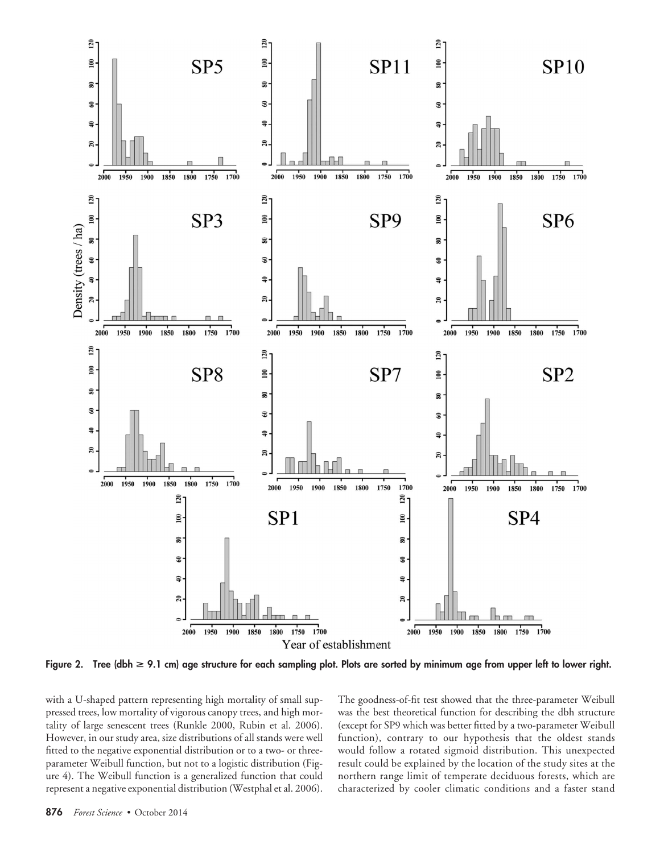

**Figure 2. Tree (dbh** > **9.1 cm) age structure for each sampling plot. Plots are sorted by minimum age from upper left to lower right.**

with a U-shaped pattern representing high mortality of small suppressed trees, low mortality of vigorous canopy trees, and high mortality of large senescent trees (Runkle 2000, Rubin et al. 2006). However, in our study area, size distributions of all stands were well fitted to the negative exponential distribution or to a two- or threeparameter Weibull function, but not to a logistic distribution (Figure 4). The Weibull function is a generalized function that could represent a negative exponential distribution (Westphal et al. 2006). The goodness-of-fit test showed that the three-parameter Weibull was the best theoretical function for describing the dbh structure (except for SP9 which was better fitted by a two-parameter Weibull function), contrary to our hypothesis that the oldest stands would follow a rotated sigmoid distribution. This unexpected result could be explained by the location of the study sites at the northern range limit of temperate deciduous forests, which are characterized by cooler climatic conditions and a faster stand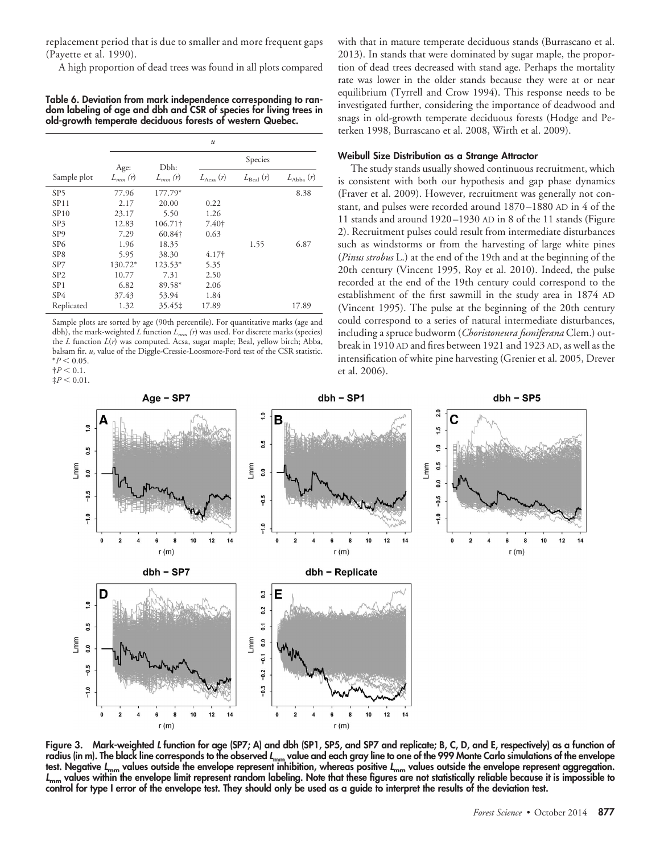replacement period that is due to smaller and more frequent gaps (Payette et al. 1990).

A high proportion of dead trees was found in all plots compared

**Table 6. Deviation from mark independence corresponding to random labeling of age and dbh and CSR of species for living trees in old-growth temperate deciduous forests of western Quebec.**

|                  | $\boldsymbol{u}$        |             |                   |                      |                      |  |
|------------------|-------------------------|-------------|-------------------|----------------------|----------------------|--|
|                  | Species<br>Dbh:<br>Age: |             |                   |                      |                      |  |
| Sample plot      | $L_{mm}(r)$             | $L_{mm}(r)$ | $L_{\rm Acsa}(r)$ | $L_{\text{Real}}(r)$ | $L_{\text{Abba}}(r)$ |  |
| SP5              | 77.96                   | 177.79*     |                   |                      | 8.38                 |  |
| SP11             | 2.17                    | 20.00       | 0.22              |                      |                      |  |
| SP <sub>10</sub> | 23.17                   | 5.50        | 1.26              |                      |                      |  |
| SP <sub>3</sub>  | 12.83                   | 106.71†     | 7.40†             |                      |                      |  |
| SP <sub>9</sub>  | 7.29                    | 60.84†      | 0.63              |                      |                      |  |
| SP <sub>6</sub>  | 1.96                    | 18.35       |                   | 1.55                 | 6.87                 |  |
| SP <sub>8</sub>  | 5.95                    | 38.30       | 4.17 <sup>†</sup> |                      |                      |  |
| SP7              | 130.72*                 | $123.53*$   | 5.35              |                      |                      |  |
| SP <sub>2</sub>  | 10.77                   | 7.31        | 2.50              |                      |                      |  |
| SP <sub>1</sub>  | 6.82                    | 89.58*      | 2.06              |                      |                      |  |
| SP4              | 37.43                   | 53.94       | 1.84              |                      |                      |  |
| Replicated       | 1.32                    | 35.45‡      | 17.89             |                      | 17.89                |  |

Sample plots are sorted by age (90th percentile). For quantitative marks (age and dbh), the mark-weighted *L* function *Lmm (r*) was used. For discrete marks (species) the *L* function *L*(*r*) was computed. Acsa, sugar maple; Beal, yellow birch; Abba, balsam fir. *u*, value of the Diggle-Cressie-Loosmore-Ford test of the CSR statistic.  $*P < 0.05$ .  $\ddagger P < 0.1$ .

 $\ddagger P < 0.01$ .

with that in mature temperate deciduous stands (Burrascano et al. 2013). In stands that were dominated by sugar maple, the proportion of dead trees decreased with stand age. Perhaps the mortality rate was lower in the older stands because they were at or near equilibrium (Tyrrell and Crow 1994). This response needs to be investigated further, considering the importance of deadwood and snags in old-growth temperate deciduous forests (Hodge and Peterken 1998, Burrascano et al. 2008, Wirth et al. 2009).

# **Weibull Size Distribution as a Strange Attractor**

The study stands usually showed continuous recruitment, which is consistent with both our hypothesis and gap phase dynamics (Fraver et al. 2009). However, recruitment was generally not constant, and pulses were recorded around 1870 –1880 AD in 4 of the 11 stands and around 1920 –1930 AD in 8 of the 11 stands (Figure 2). Recruitment pulses could result from intermediate disturbances such as windstorms or from the harvesting of large white pines (*Pinus strobus* L.) at the end of the 19th and at the beginning of the 20th century (Vincent 1995, Roy et al. 2010). Indeed, the pulse recorded at the end of the 19th century could correspond to the establishment of the first sawmill in the study area in 1874 AD (Vincent 1995). The pulse at the beginning of the 20th century could correspond to a series of natural intermediate disturbances, including a spruce budworm (*Choristoneura fumiferana* Clem.) outbreak in 1910 AD and fires between 1921 and 1923 AD, as well as the intensification of white pine harvesting (Grenier et al. 2005, Drever et al. 2006).



**Figure 3. Mark-weighted** *L* **function for age (SP7; A) and dbh (SP1, SP5, and SP7 and replicate; B, C, D, and E, respectively) as a function of** radius (in m). The black line corresponds to the observed *L*<sub>mm</sub> value and each gray line to one of the 999 Monte Carlo simulations of the envelope **test. Negative** *L***mm values outside the envelope represent inhibition, whereas positive** *L***mm values outside the envelope represent aggregation.** *L***mm values within the envelope limit represent random labeling. Note that these figures are not statistically reliable because it is impossible to control for type I error of the envelope test. They should only be used as a guide to interpret the results of the deviation test.**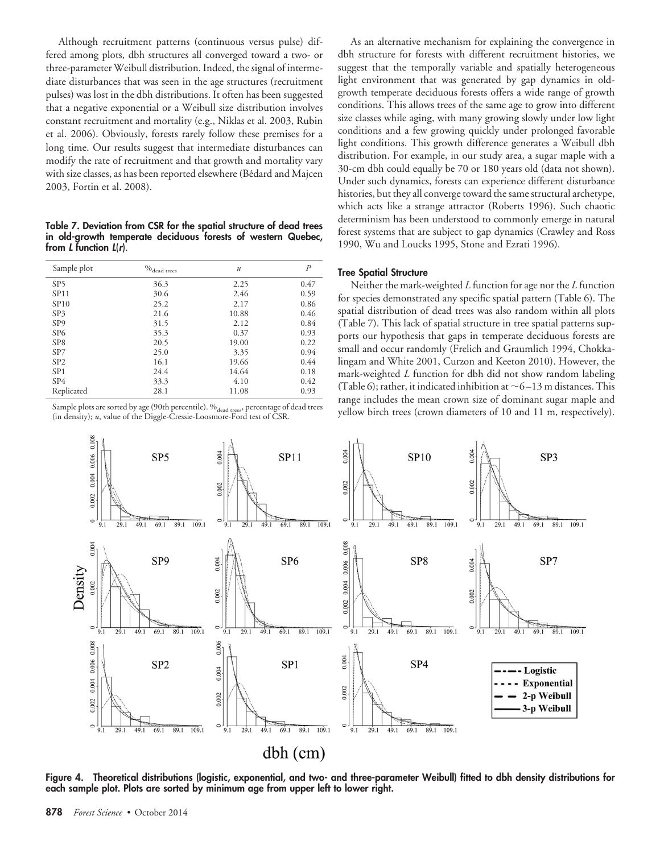Although recruitment patterns (continuous versus pulse) differed among plots, dbh structures all converged toward a two- or three-parameter Weibull distribution. Indeed, the signal of intermediate disturbances that was seen in the age structures (recruitment pulses) was lost in the dbh distributions. It often has been suggested that a negative exponential or a Weibull size distribution involves constant recruitment and mortality (e.g., Niklas et al. 2003, Rubin et al. 2006). Obviously, forests rarely follow these premises for a long time. Our results suggest that intermediate disturbances can modify the rate of recruitment and that growth and mortality vary with size classes, as has been reported elsewhere (Bédard and Majcen 2003, Fortin et al. 2008).

**Table 7. Deviation from CSR for the spatial structure of dead trees in old-growth temperate deciduous forests of western Quebec, from** *L* **function** *L*(*r*).

| Sample plot     | $\%_{\text{dead trees}}$ | $\boldsymbol{u}$ | $\overline{P}$ |
|-----------------|--------------------------|------------------|----------------|
| SP <sub>5</sub> | 36.3                     | 2.25             | 0.47           |
| SP11            | 30.6                     | 2.46             | 0.59           |
| SP10            | 25.2                     | 2.17             | 0.86           |
| SP <sub>3</sub> | 21.6                     | 10.88            | 0.46           |
| SP <sub>9</sub> | 31.5                     | 2.12             | 0.84           |
| SP <sub>6</sub> | 35.3                     | 0.37             | 0.93           |
| SP <sub>8</sub> | 20.5                     | 19.00            | 0.22           |
| SP7             | 25.0                     | 3.35             | 0.94           |
| SP <sub>2</sub> | 16.1                     | 19.66            | 0.44           |
| SP <sub>1</sub> | 24.4                     | 14.64            | 0.18           |
| SP4             | 33.3                     | 4.10             | 0.42           |
| Replicated      | 28.1                     | 11.08            | 0.93           |

Sample plots are sorted by age (90th percentile).  $\%$ <sub>dead trees</sub>, percentage of dead trees (in density); *u*, value of the Diggle-Cressie-Loosmore-Ford test of CSR.

As an alternative mechanism for explaining the convergence in dbh structure for forests with different recruitment histories, we suggest that the temporally variable and spatially heterogeneous light environment that was generated by gap dynamics in oldgrowth temperate deciduous forests offers a wide range of growth conditions. This allows trees of the same age to grow into different size classes while aging, with many growing slowly under low light conditions and a few growing quickly under prolonged favorable light conditions. This growth difference generates a Weibull dbh distribution. For example, in our study area, a sugar maple with a 30-cm dbh could equally be 70 or 180 years old (data not shown). Under such dynamics, forests can experience different disturbance histories, but they all converge toward the same structural archetype, which acts like a strange attractor (Roberts 1996). Such chaotic determinism has been understood to commonly emerge in natural forest systems that are subject to gap dynamics (Crawley and Ross 1990, Wu and Loucks 1995, Stone and Ezrati 1996).

# **Tree Spatial Structure**

Neither the mark-weighted *L* function for age nor the *L* function for species demonstrated any specific spatial pattern (Table 6). The spatial distribution of dead trees was also random within all plots (Table 7). This lack of spatial structure in tree spatial patterns supports our hypothesis that gaps in temperate deciduous forests are small and occur randomly (Frelich and Graumlich 1994, Chokkalingam and White 2001, Curzon and Keeton 2010). However, the mark-weighted *L* function for dbh did not show random labeling (Table 6); rather, it indicated inhibition at  $\sim$  6–13 m distances. This range includes the mean crown size of dominant sugar maple and yellow birch trees (crown diameters of 10 and 11 m, respectively).



**Figure 4. Theoretical distributions (logistic, exponential, and two- and three-parameter Weibull) fitted to dbh density distributions for each sample plot. Plots are sorted by minimum age from upper left to lower right.**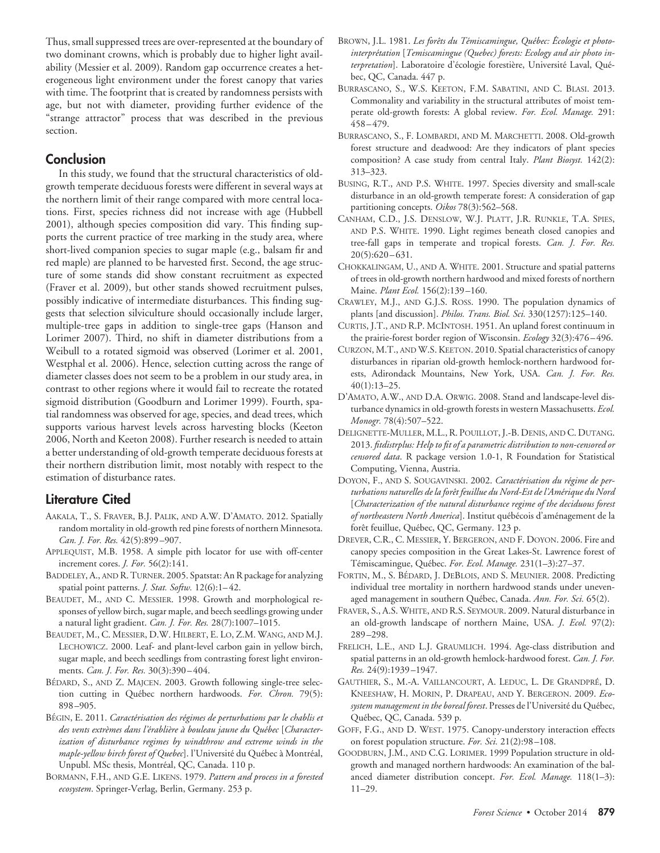Thus, small suppressed trees are over-represented at the boundary of two dominant crowns, which is probably due to higher light availability (Messier et al. 2009). Random gap occurrence creates a heterogeneous light environment under the forest canopy that varies with time. The footprint that is created by randomness persists with age, but not with diameter, providing further evidence of the "strange attractor" process that was described in the previous section.

# **Conclusion**

In this study, we found that the structural characteristics of oldgrowth temperate deciduous forests were different in several ways at the northern limit of their range compared with more central locations. First, species richness did not increase with age (Hubbell 2001), although species composition did vary. This finding supports the current practice of tree marking in the study area, where short-lived companion species to sugar maple (e.g., balsam fir and red maple) are planned to be harvested first. Second, the age structure of some stands did show constant recruitment as expected (Fraver et al. 2009), but other stands showed recruitment pulses, possibly indicative of intermediate disturbances. This finding suggests that selection silviculture should occasionally include larger, multiple-tree gaps in addition to single-tree gaps (Hanson and Lorimer 2007). Third, no shift in diameter distributions from a Weibull to a rotated sigmoid was observed (Lorimer et al. 2001, Westphal et al. 2006). Hence, selection cutting across the range of diameter classes does not seem to be a problem in our study area, in contrast to other regions where it would fail to recreate the rotated sigmoid distribution (Goodburn and Lorimer 1999). Fourth, spatial randomness was observed for age, species, and dead trees, which supports various harvest levels across harvesting blocks (Keeton 2006, North and Keeton 2008). Further research is needed to attain a better understanding of old-growth temperate deciduous forests at their northern distribution limit, most notably with respect to the estimation of disturbance rates.

# **Literature Cited**

- AAKALA, T., S. FRAVER, B.J. PALIK, AND A.W. D'AMATO. 2012. Spatially random mortality in old-growth red pine forests of northern Minnesota. *Can. J. For. Res.* 42(5):899 –907.
- APPLEQUIST, M.B. 1958. A simple pith locator for use with off-center increment cores. *J. For.* 56(2):141.
- BADDELEY, A., AND R. TURNER. 2005. Spatstat: An R package for analyzing spatial point patterns. *J. Stat. Softw.* 12(6):1-42.
- BEAUDET, M., AND C. MESSIER. 1998. Growth and morphological responses of yellow birch, sugar maple, and beech seedlings growing under a natural light gradient. *Can. J. For. Res.* 28(7):1007–1015.
- BEAUDET, M., C. MESSIER, D.W. HILBERT, E. LO, Z.M. WANG, AND M.J. LECHOWICZ. 2000. Leaf- and plant-level carbon gain in yellow birch, sugar maple, and beech seedlings from contrasting forest light environments. *Can. J. For. Res.* 30(3):390 – 404.
- BÉDARD, S., AND Z. MAJCEN. 2003. Growth following single-tree selection cutting in Québec northern hardwoods. For. Chron. 79(5): 898 –905.
- BÉGIN, E. 2011. *Caractérisation des régimes de perturbations par le chablis et* des vents extrèmes dans l'érablière à bouleau jaune du Québec [Character*ization of disturbance regimes by windthrow and extreme winds in the* maple-yellow birch forest of Quebec]. l'Université du Québec à Montréal, Unpubl. MSc thesis, Montréal, QC, Canada. 110 p.
- BORMANN, F.H., AND G.E. LIKENS. 1979. *Pattern and process in a forested ecosystem*. Springer-Verlag, Berlin, Germany. 253 p.
- BROWN, J.L. 1981. Les forêts du Témiscamingue, Québec: Écologie et photointerprétation [Temiscamingue (Quebec) forests: Ecology and air photo interpretation]. Laboratoire d'écologie forestière, Université Laval, Québec, QC, Canada. 447 p.
- BURRASCANO, S., W.S. KEETON, F.M. SABATINI, AND C. BLASI. 2013. Commonality and variability in the structural attributes of moist temperate old-growth forests: A global review. *For. Ecol. Manage.* 291: 458 – 479.
- BURRASCANO, S., F. LOMBARDI, AND M. MARCHETTI. 2008. Old-growth forest structure and deadwood: Are they indicators of plant species composition? A case study from central Italy. *Plant Biosyst.* 142(2): 313–323.
- BUSING, R.T., AND P.S. WHITE. 1997. Species diversity and small-scale disturbance in an old-growth temperate forest: A consideration of gap partitioning concepts. *Oikos* 78(3):562–568.
- CANHAM, C.D., J.S. DENSLOW, W.J. PLATT, J.R. RUNKLE, T.A. SPIES, AND P.S. WHITE. 1990. Light regimes beneath closed canopies and tree-fall gaps in temperate and tropical forests. *Can. J. For. Res.*  $20(5):620-631.$
- CHOKKALINGAM, U., AND A. WHITE. 2001. Structure and spatial patterns of trees in old-growth northern hardwood and mixed forests of northern Maine. *Plant Ecol.* 156(2):139 –160.
- CRAWLEY, M.J., AND G.J.S. ROSS. 1990. The population dynamics of plants [and discussion]. *Philos. Trans. Biol. Sci.* 330(1257):125–140.
- CURTIS, J.T., AND R.P. MCINTOSH. 1951. An upland forest continuum in the prairie-forest border region of Wisconsin. *Ecology* 32(3):476 – 496.
- CURZON, M.T., AND W.S. KEETON. 2010. Spatial characteristics of canopy disturbances in riparian old-growth hemlock-northern hardwood forests, Adirondack Mountains, New York, USA. *Can. J. For. Res.* 40(1):13–25.
- D'AMATO, A.W., AND D.A. ORWIG. 2008. Stand and landscape-level disturbance dynamics in old-growth forests in western Massachusetts. *Ecol. Monogr.* 78(4):507–522.
- DELIGNETTE-MULLER, M.L., R. POUILLOT, J.-B. DENIS, AND C. DUTANG. 2013. *fitdistrplus: Help to fit of a parametric distribution to non-censored or censored data*. R package version 1.0-1, R Foundation for Statistical Computing, Vienna, Austria.
- DOYON, F., AND S. SOUGAVINSKI. 2002. *Caractérisation du régime de perturbations naturelles de la foreˆt feuillue du Nord-Est de l'Ame´rique du Nord* [*Characterization of the natural disturbance regime of the deciduous forest* of northeastern North America]. Institut québécois d'aménagement de la forêt feuillue, Québec, QC, Germany. 123 p.
- DREVER, C.R., C. MESSIER, Y. BERGERON, AND F. DOYON. 2006. Fire and canopy species composition in the Great Lakes-St. Lawrence forest of Témiscamingue, Québec. For. Ecol. Manage. 231(1-3):27-37.
- FORTIN, M., S. BÉDARD, J. DEBLOIS, AND S. MEUNIER. 2008. Predicting individual tree mortality in northern hardwood stands under unevenaged management in southern Québec, Canada. Ann. For. Sci. 65(2).
- FRAVER, S., A.S. WHITE, AND R.S. SEYMOUR. 2009. Natural disturbance in an old-growth landscape of northern Maine, USA. *J*. *Ecol.* 97(2): 289 –298.
- FRELICH, L.E., AND L.J. GRAUMLICH. 1994. Age-class distribution and spatial patterns in an old-growth hemlock-hardwood forest. *Can. J. For. Res.* 24(9):1939 –1947.
- GAUTHIER, S., M.-A. VAILLANCOURT, A. LEDUC, L. DE GRANDPRÉ, D. KNEESHAW, H. MORIN, P. DRAPEAU, AND Y. BERGERON. 2009. *Eco*system management in the boreal forest. Presses de l'Université du Québec, Québec, QC, Canada. 539 p.
- GOFF, F.G., AND D. WEST. 1975. Canopy-understory interaction effects on forest population structure. *For. Sci.* 21(2):98 –108.
- GOODBURN, J.M., AND C.G. LORIMER. 1999 Population structure in oldgrowth and managed northern hardwoods: An examination of the balanced diameter distribution concept. *For. Ecol. Manage.* 118(1–3): 11–29.